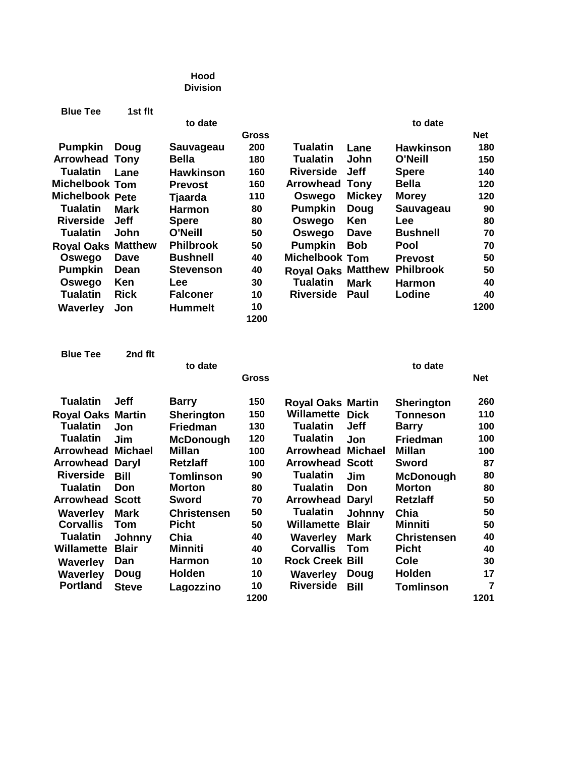## **Hood Division**

| <b>Blue Tee</b>        | 1st flt        |                  |       |                           |               |                  |            |
|------------------------|----------------|------------------|-------|---------------------------|---------------|------------------|------------|
|                        |                | to date          |       |                           |               | to date          |            |
|                        |                |                  | Gross |                           |               |                  | <b>Net</b> |
| <b>Pumpkin</b>         | Doug           | Sauvageau        | 200   | Tualatin                  | Lane          | <b>Hawkinson</b> | 180        |
| <b>Arrowhead</b>       | Tonv           | Bella            | 180   | Tualatin                  | John          | <b>O'Neill</b>   | 150        |
| Tualatin               | Lane           | <b>Hawkinson</b> | 160   | <b>Riverside</b>          | <b>Jeff</b>   | <b>Spere</b>     | 140        |
| <b>Michelbook Tom</b>  |                | <b>Prevost</b>   | 160   | <b>Arrowhead</b>          | Tony          | Bella            | 120        |
| <b>Michelbook Pete</b> |                | Tjaarda          | 110   | Oswego                    | <b>Mickey</b> | <b>Morey</b>     | 120        |
| <b>Tualatin</b>        | <b>Mark</b>    | <b>Harmon</b>    | 80    | <b>Pumpkin</b>            | Doug          | Sauvageau        | 90         |
| <b>Riverside</b>       | <b>Jeff</b>    | <b>Spere</b>     | 80    | Oswego                    | <b>Ken</b>    | <b>Lee</b>       | 80         |
| <b>Tualatin</b>        | John           | O'Neill          | 50    | Oswego                    | Dave          | <b>Bushnell</b>  | 70         |
| <b>Royal Oaks</b>      | <b>Matthew</b> | <b>Philbrook</b> | 50    | <b>Pumpkin</b>            | Bob           | Pool             | 70         |
| Oswego                 | Dave           | Bushnell         | 40    | Michelbook Tom            |               | <b>Prevost</b>   | 50         |
| <b>Pumpkin</b>         | Dean           | Stevenson        | 40    | <b>Royal Oaks Matthew</b> |               | <b>Philbrook</b> | 50         |
| Oswego                 | <b>Ken</b>     | Lee              | 30    | <b>Tualatin</b>           | <b>Mark</b>   | <b>Harmon</b>    | 40         |
| Tualatin               | <b>Rick</b>    | <b>Falconer</b>  | 10    | <b>Riverside</b>          | Paul          | Lodine           | 40         |
| Waverley               | Jon            | Hummelt          | 10    |                           |               |                  | 1200       |
|                        |                |                  | 1200  |                           |               |                  |            |

| <b>Blue Tee</b>          | 2nd flt        |                    |       |                          |                |                    |                |
|--------------------------|----------------|--------------------|-------|--------------------------|----------------|--------------------|----------------|
|                          |                | to date            |       |                          |                | to date            |                |
|                          |                |                    | Gross |                          |                |                    | <b>Net</b>     |
| <b>Tualatin</b>          | <b>Jeff</b>    | <b>Barry</b>       | 150   | <b>Royal Oaks Martin</b> |                | <b>Sherington</b>  | 260            |
| <b>Royal Oaks Martin</b> |                | <b>Sherington</b>  | 150   | Willamette               | <b>Dick</b>    | <b>Tonneson</b>    | 110            |
| <b>Tualatin</b>          | Jon            | <b>Friedman</b>    | 130   | <b>Tualatin</b>          | <b>Jeff</b>    | <b>Barry</b>       | 100            |
| <b>Tualatin</b>          | Jim            | <b>McDonough</b>   | 120   | <b>Tualatin</b>          | Jon            | <b>Friedman</b>    | 100            |
| Arrowhead                | <b>Michael</b> | <b>Millan</b>      | 100   | Arrowhead                | <b>Michael</b> | <b>Millan</b>      | 100            |
| Arrowhead                | Daryl          | <b>Retzlaff</b>    | 100   | <b>Arrowhead Scott</b>   |                | <b>Sword</b>       | 87             |
| <b>Riverside</b>         | <b>Bill</b>    | <b>Tomlinson</b>   | 90    | <b>Tualatin</b>          | Jim            | <b>McDonough</b>   | 80             |
| <b>Tualatin</b>          | Don            | <b>Morton</b>      | 80    | <b>Tualatin</b>          | Don            | <b>Morton</b>      | 80             |
| Arrowhead                | <b>Scott</b>   | Sword              | 70    | <b>Arrowhead</b>         | Daryl          | <b>Retzlaff</b>    | 50             |
| Waverley                 | Mark           | <b>Christensen</b> | 50    | Tualatin                 | Johnny         | Chia               | 50             |
| <b>Corvallis</b>         | Tom            | <b>Picht</b>       | 50    | <b>Willamette</b>        | <b>Blair</b>   | <b>Minniti</b>     | 50             |
| <b>Tualatin</b>          | Johnny         | Chia               | 40    | <b>Waverley</b>          | Mark           | <b>Christensen</b> | 40             |
| Willamette               | <b>Blair</b>   | Minniti            | 40    | <b>Corvallis</b>         | Tom            | <b>Picht</b>       | 40             |
| <b>Waverley</b>          | Dan            | <b>Harmon</b>      | 10    | <b>Rock Creek Bill</b>   |                | <b>Cole</b>        | 30             |
| Waverley                 | Doug           | <b>Holden</b>      | 10    | Waverley                 | Doug           | <b>Holden</b>      | 17             |
| <b>Portland</b>          | <b>Steve</b>   | Lagozzino          | 10    | <b>Riverside</b>         | <b>Bill</b>    | <b>Tomlinson</b>   | $\overline{7}$ |
|                          |                |                    | 1200  |                          |                |                    | 1201           |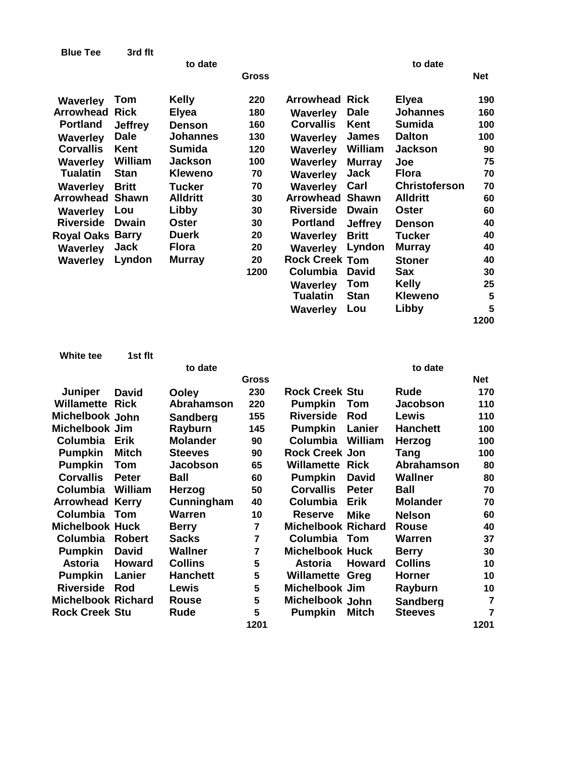| <b>Blue Tee</b>   | 3rd flt        |                 |       |                       |                |                      |            |
|-------------------|----------------|-----------------|-------|-----------------------|----------------|----------------------|------------|
|                   |                | to date         |       |                       |                | to date              |            |
|                   |                |                 | Gross |                       |                |                      | <b>Net</b> |
| <b>Waverley</b>   | Tom            | <b>Kelly</b>    | 220   | <b>Arrowhead Rick</b> |                | <b>Elyea</b>         | 190        |
| <b>Arrowhead</b>  | <b>Rick</b>    | <b>Elyea</b>    | 180   | Waverley              | <b>Dale</b>    | <b>Johannes</b>      | 160        |
| <b>Portland</b>   | <b>Jeffrey</b> | <b>Denson</b>   | 160   | <b>Corvallis</b>      | Kent           | <b>Sumida</b>        | 100        |
| <b>Waverley</b>   | <b>Dale</b>    | <b>Johannes</b> | 130   | <b>Waverley</b>       | <b>James</b>   | <b>Dalton</b>        | 100        |
| <b>Corvallis</b>  | Kent           | <b>Sumida</b>   | 120   | Waverley              | William        | <b>Jackson</b>       | 90         |
| Waverley          | William        | Jackson         | 100   | <b>Waverley</b>       | <b>Murray</b>  | Joe                  | 75         |
| <b>Tualatin</b>   | <b>Stan</b>    | Kleweno         | 70    | Waverley              | Jack           | <b>Flora</b>         | 70         |
| <b>Waverley</b>   | <b>Britt</b>   | <b>Tucker</b>   | 70    | <b>Waverley</b>       | Carl           | <b>Christoferson</b> | 70         |
| <b>Arrowhead</b>  | <b>Shawn</b>   | <b>Alldritt</b> | 30    | <b>Arrowhead</b>      | <b>Shawn</b>   | <b>Alldritt</b>      | 60         |
| Waverley          | Lou            | Libby           | 30    | <b>Riverside</b>      | <b>Dwain</b>   | <b>Oster</b>         | 60         |
| <b>Riverside</b>  | <b>Dwain</b>   | Oster           | 30    | <b>Portland</b>       | <b>Jeffrey</b> | <b>Denson</b>        | 40         |
| <b>Royal Oaks</b> | <b>Barry</b>   | <b>Duerk</b>    | 20    | <b>Waverley</b>       | <b>Britt</b>   | <b>Tucker</b>        | 40         |
| <b>Waverley</b>   | Jack           | <b>Flora</b>    | 20    | <b>Waverley</b>       | Lyndon         | <b>Murray</b>        | 40         |
| <b>Waverley</b>   | Lyndon         | <b>Murray</b>   | 20    | <b>Rock Creek Tom</b> |                | <b>Stoner</b>        | 40         |
|                   |                |                 | 1200  | Columbia              | <b>David</b>   | Sax                  | 30         |
|                   |                |                 |       | <b>Waverley</b>       | Tom            | <b>Kelly</b>         | 25         |
|                   |                |                 |       | <b>Tualatin</b>       | <b>Stan</b>    | <b>Kleweno</b>       | 5          |
|                   |                |                 |       | <b>Waverley</b>       | Lou            | Libby                | 5          |
|                   |                |                 |       |                       |                |                      | 1200       |

| White tee                 | 1st flt       |                 |                |                           |               |                 |                |
|---------------------------|---------------|-----------------|----------------|---------------------------|---------------|-----------------|----------------|
|                           |               | to date         |                |                           |               | to date         |                |
|                           |               |                 | Gross          |                           |               |                 | <b>Net</b>     |
| <b>Juniper</b>            | David         | <b>Ooley</b>    | 230            | <b>Rock Creek Stu</b>     |               | Rude            | 170            |
| Willamette                | <b>Rick</b>   | Abrahamson      | 220            | <b>Pumpkin</b>            | Tom           | <b>Jacobson</b> | 110            |
| Michelbook John           |               | <b>Sandberg</b> | 155            | <b>Riverside</b>          | Rod           | Lewis           | 110            |
| Michelbook Jim            |               | Rayburn         | 145            | <b>Pumpkin</b>            | Lanier        | <b>Hanchett</b> | 100            |
| Columbia                  | Erik          | <b>Molander</b> | 90             | Columbia                  | William       | Herzog          | 100            |
| <b>Pumpkin</b>            | <b>Mitch</b>  | <b>Steeves</b>  | 90             | <b>Rock Creek Jon</b>     |               | Tang            | 100            |
| <b>Pumpkin</b>            | <b>Tom</b>    | Jacobson        | 65             | <b>Willamette Rick</b>    |               | Abrahamson      | 80             |
| <b>Corvallis</b>          | <b>Peter</b>  | <b>Ball</b>     | 60             | <b>Pumpkin</b>            | <b>David</b>  | <b>Wallner</b>  | 80             |
| <b>Columbia</b>           | William       | Herzog          | 50             | <b>Corvallis</b>          | <b>Peter</b>  | Ball            | 70             |
| <b>Arrowhead</b>          | <b>Kerry</b>  | Cunningham      | 40             | Columbia                  | <b>Erik</b>   | <b>Molander</b> | 70             |
| <b>Columbia Tom</b>       |               | <b>Warren</b>   | 10             | <b>Reserve</b>            | <b>Mike</b>   | <b>Nelson</b>   | 60             |
| <b>Michelbook Huck</b>    |               | <b>Berry</b>    | 7              | <b>Michelbook Richard</b> |               | <b>Rouse</b>    | 40             |
| Columbia                  | <b>Robert</b> | <b>Sacks</b>    | 7              | Columbia Tom              |               | <b>Warren</b>   | 37             |
| <b>Pumpkin</b>            | <b>David</b>  | <b>Wallner</b>  | $\overline{7}$ | <b>Michelbook Huck</b>    |               | <b>Berry</b>    | 30             |
| <b>Astoria</b>            | Howard        | <b>Collins</b>  | 5              | <b>Astoria</b>            | <b>Howard</b> | <b>Collins</b>  | 10             |
| <b>Pumpkin</b>            | Lanier        | <b>Hanchett</b> | 5              | <b>Willamette Greg</b>    |               | <b>Horner</b>   | 10             |
| <b>Riverside</b>          | Rod           | Lewis           | 5              | <b>Michelbook Jim</b>     |               | Rayburn         | 10             |
| <b>Michelbook Richard</b> |               | <b>Rouse</b>    | 5              | Michelbook John           |               | <b>Sandberg</b> | $\overline{7}$ |
| <b>Rock Creek Stu</b>     |               | Rude            | 5              | <b>Pumpkin</b>            | <b>Mitch</b>  | <b>Steeves</b>  | 7              |
|                           |               |                 | 1201           |                           |               |                 | 1201           |